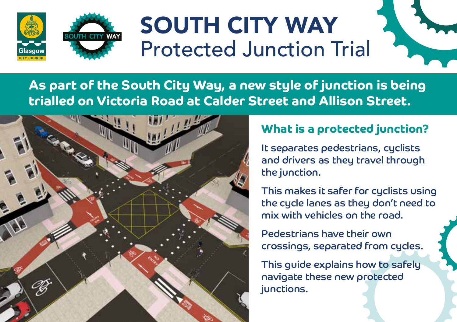

## SOUTH CITY WAY Protected Junction Trial **)<br>**



**As part of the South City Way, a new style of junction is being trialled on Victoria Road at Calder Street and Allison Street.** 



## **What is a protected junction?**

It separates pedestrians, cyclists and drivers as they travel through the junction.

This makes it safer for cyclists using the cycle lanes as they don't need to mix with vehicles on the road.

Pedestrians have their own crossings, separated from cycles.

This guide explains how to safely navigate these new protected junctions.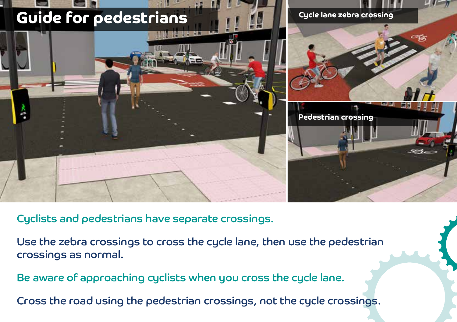

Cyclists and pedestrians have separate crossings.

Use the zebra crossings to cross the cycle lane, then use the pedestrian crossings as normal.

Be aware of approaching cyclists when you cross the cycle lane.

Cross the road using the pedestrian crossings, not the cycle crossings.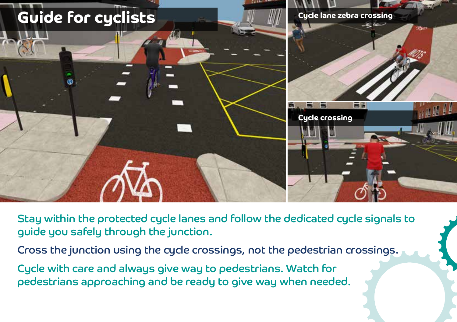

Stay within the protected cycle lanes and follow the dedicated cycle signals to guide you safely through the junction.

- Cross the junction using the cycle crossings, not the pedestrian crossings.
- Cycle with care and always give way to pedestrians. Watch for pedestrians approaching and be ready to give way when needed.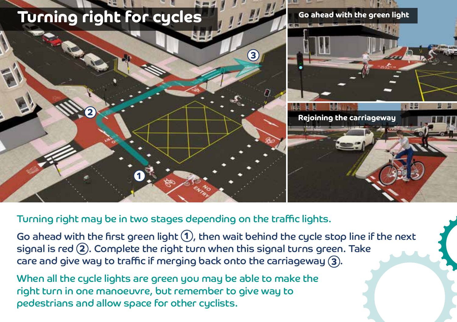

Turning right may be in two stages depending on the traffic lights.

Go ahead with the first green light 1, then wait behind the cycle stop line if the next signal is red **2** . Complete the right turn when this signal turns green. Take care and give way to traffic if merging back onto the carriageway **3** .

When all the cycle lights are green you may be able to make the right turn in one manoeuvre, but remember to give way to pedestrians and allow space for other cyclists.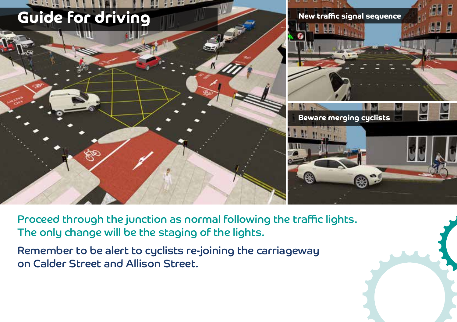

Proceed through the junction as normal following the traffic lights. The only change will be the staging of the lights.

Remember to be alert to cyclists re-joining the carriageway on Calder Street and Allison Street.